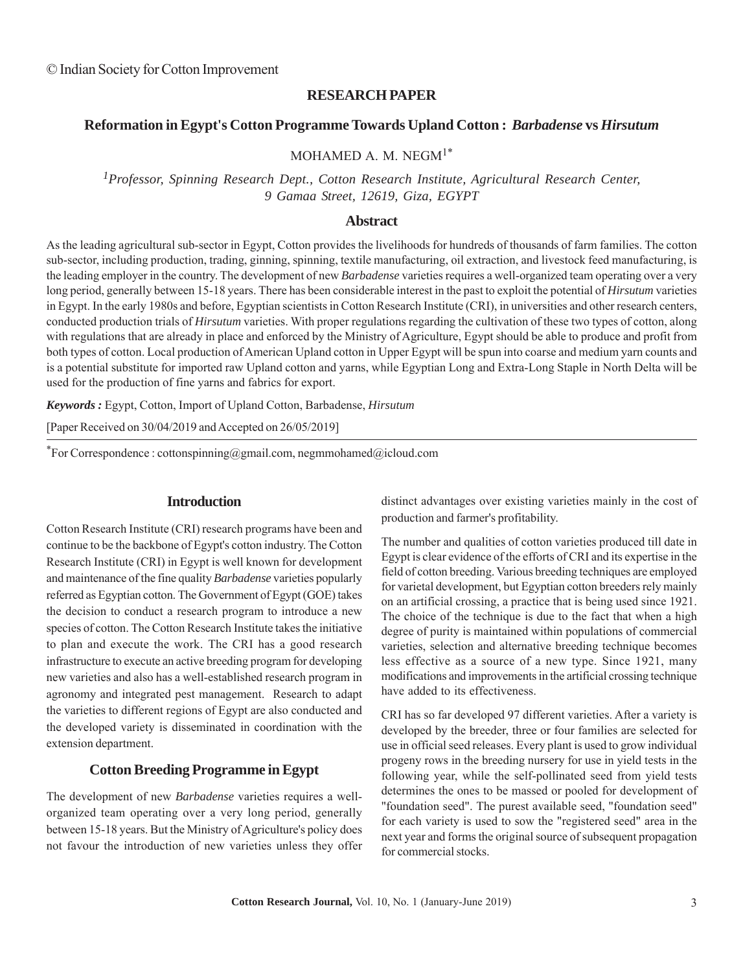## **RESEARCH PAPER**

## **Reformation in Egypt's Cotton Programme Towards Upland Cotton :** *Barbadense* **vs** *Hirsutum*

MOHAMED A M. NEGM $1^*$ 

*1Professor, Spinning Research Dept., Cotton Research Institute, Agricultural Research Center, 9 Gamaa Street, 12619, Giza, EGYPT*

#### **Abstract**

As the leading agricultural sub-sector in Egypt, Cotton provides the livelihoods for hundreds of thousands of farm families. The cotton sub-sector, including production, trading, ginning, spinning, textile manufacturing, oil extraction, and livestock feed manufacturing, is the leading employer in the country. The development of new *Barbadense* varieties requires a well-organized team operating over a very long period, generally between 15-18 years. There has been considerable interest in the past to exploit the potential of *Hirsutum* varieties in Egypt. In the early 1980s and before, Egyptian scientists in Cotton Research Institute (CRI), in universities and other research centers, conducted production trials of *Hirsutum* varieties. With proper regulations regarding the cultivation of these two types of cotton, along with regulations that are already in place and enforced by the Ministry of Agriculture, Egypt should be able to produce and profit from both types of cotton. Local production of American Upland cotton in Upper Egypt will be spun into coarse and medium yarn counts and is a potential substitute for imported raw Upland cotton and yarns, while Egyptian Long and Extra-Long Staple in North Delta will be used for the production of fine yarns and fabrics for export.

*Keywords :* Egypt, Cotton, Import of Upland Cotton, Barbadense, *Hirsutum*

[Paper Received on 30/04/2019 and Accepted on 26/05/2019]

\*For Correspondence : cottonspinning@gmail.com, negmmohamed@icloud.com

## **Introduction**

Cotton Research Institute (CRI) research programs have been and continue to be the backbone of Egypt's cotton industry. The Cotton Research Institute (CRI) in Egypt is well known for development and maintenance of the fine quality *Barbadense* varieties popularly referred as Egyptian cotton. The Government of Egypt (GOE) takes the decision to conduct a research program to introduce a new species of cotton. The Cotton Research Institute takes the initiative to plan and execute the work. The CRI has a good research infrastructure to execute an active breeding program for developing new varieties and also has a well-established research program in agronomy and integrated pest management. Research to adapt the varieties to different regions of Egypt are also conducted and the developed variety is disseminated in coordination with the extension department.

#### **Cotton Breeding Programme in Egypt**

The development of new *Barbadense* varieties requires a wellorganized team operating over a very long period, generally between 15-18 years. But the Ministry of Agriculture's policy does not favour the introduction of new varieties unless they offer distinct advantages over existing varieties mainly in the cost of production and farmer's profitability.

The number and qualities of cotton varieties produced till date in Egypt is clear evidence of the efforts of CRI and its expertise in the field of cotton breeding. Various breeding techniques are employed for varietal development, but Egyptian cotton breeders rely mainly on an artificial crossing, a practice that is being used since 1921. The choice of the technique is due to the fact that when a high degree of purity is maintained within populations of commercial varieties, selection and alternative breeding technique becomes less effective as a source of a new type. Since 1921, many modifications and improvements in the artificial crossing technique have added to its effectiveness.

CRI has so far developed 97 different varieties. After a variety is developed by the breeder, three or four families are selected for use in official seed releases. Every plant is used to grow individual progeny rows in the breeding nursery for use in yield tests in the following year, while the self-pollinated seed from yield tests determines the ones to be massed or pooled for development of "foundation seed". The purest available seed, "foundation seed" for each variety is used to sow the "registered seed" area in the next year and forms the original source of subsequent propagation for commercial stocks.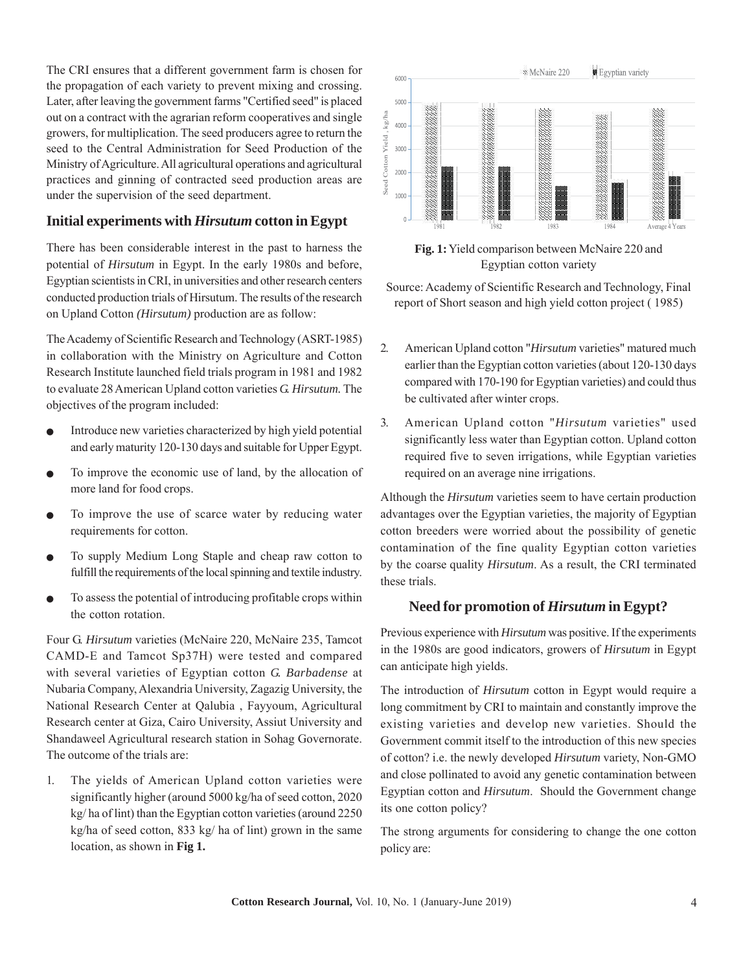The CRI ensures that a different government farm is chosen for the propagation of each variety to prevent mixing and crossing. Later, after leaving the government farms "Certified seed" is placed out on a contract with the agrarian reform cooperatives and single growers, for multiplication. The seed producers agree to return the seed to the Central Administration for Seed Production of the Ministry of Agriculture. All agricultural operations and agricultural practices and ginning of contracted seed production areas are under the supervision of the seed department.

# **Initial experiments with** *Hirsutum* **cotton in Egypt**

There has been considerable interest in the past to harness the potential of *Hirsutum* in Egypt. In the early 1980s and before, Egyptian scientists in CRI, in universities and other research centers conducted production trials of Hirsutum. The results of the research on Upland Cotton *(Hirsutum)* production are as follow:

The Academy of Scientific Research and Technology (ASRT-1985) in collaboration with the Ministry on Agriculture and Cotton Research Institute launched field trials program in 1981 and 1982 to evaluate 28 American Upland cotton varieties *G. Hirsutum.* The objectives of the program included:

- Introduce new varieties characterized by high yield potential and early maturity 120-130 days and suitable for Upper Egypt.
- To improve the economic use of land, by the allocation of more land for food crops.
- To improve the use of scarce water by reducing water requirements for cotton.
- To supply Medium Long Staple and cheap raw cotton to fulfill the requirements of the local spinning and textile industry.
- To assess the potential of introducing profitable crops within the cotton rotation.

Four G. *Hirsutum* varieties (McNaire 220, McNaire 235, Tamcot CAMD-E and Tamcot Sp37H) were tested and compared with several varieties of Egyptian cotton *G. Barbadense* at Nubaria Company, Alexandria University, Zagazig University, the National Research Center at Qalubia , Fayyoum, Agricultural Research center at Giza, Cairo University, Assiut University and Shandaweel Agricultural research station in Sohag Governorate. The outcome of the trials are:

1. The yields of American Upland cotton varieties were significantly higher (around 5000 kg/ha of seed cotton, 2020 kg/ ha of lint) than the Egyptian cotton varieties (around 2250 kg/ha of seed cotton, 833 kg/ ha of lint) grown in the same location, as shown in **Fig 1.**



**Fig. 1:** Yield comparison between McNaire 220 and Egyptian cotton variety

Source: Academy of Scientific Research and Technology, Final report of Short season and high yield cotton project ( 1985)

- 2. American Upland cotton "*Hirsutum* varieties" matured much earlier than the Egyptian cotton varieties (about 120-130 days compared with 170-190 for Egyptian varieties) and could thus be cultivated after winter crops.
- 3. American Upland cotton "*Hirsutum* varieties" used significantly less water than Egyptian cotton. Upland cotton required five to seven irrigations, while Egyptian varieties required on an average nine irrigations.

Although the *Hirsutum* varieties seem to have certain production advantages over the Egyptian varieties, the majority of Egyptian cotton breeders were worried about the possibility of genetic contamination of the fine quality Egyptian cotton varieties by the coarse quality *Hirsutum*. As a result, the CRI terminated these trials.

# **Need for promotion of** *Hirsutum* **in Egypt?**

Previous experience with *Hirsutum* was positive. If the experiments in the 1980s are good indicators, growers of *Hirsutum* in Egypt can anticipate high yields.

The introduction of *Hirsutum* cotton in Egypt would require a long commitment by CRI to maintain and constantly improve the existing varieties and develop new varieties. Should the Government commit itself to the introduction of this new species of cotton? i.e. the newly developed *Hirsutum* variety, Non-GMO and close pollinated to avoid any genetic contamination between Egyptian cotton and *Hirsutum*. Should the Government change its one cotton policy?

The strong arguments for considering to change the one cotton policy are: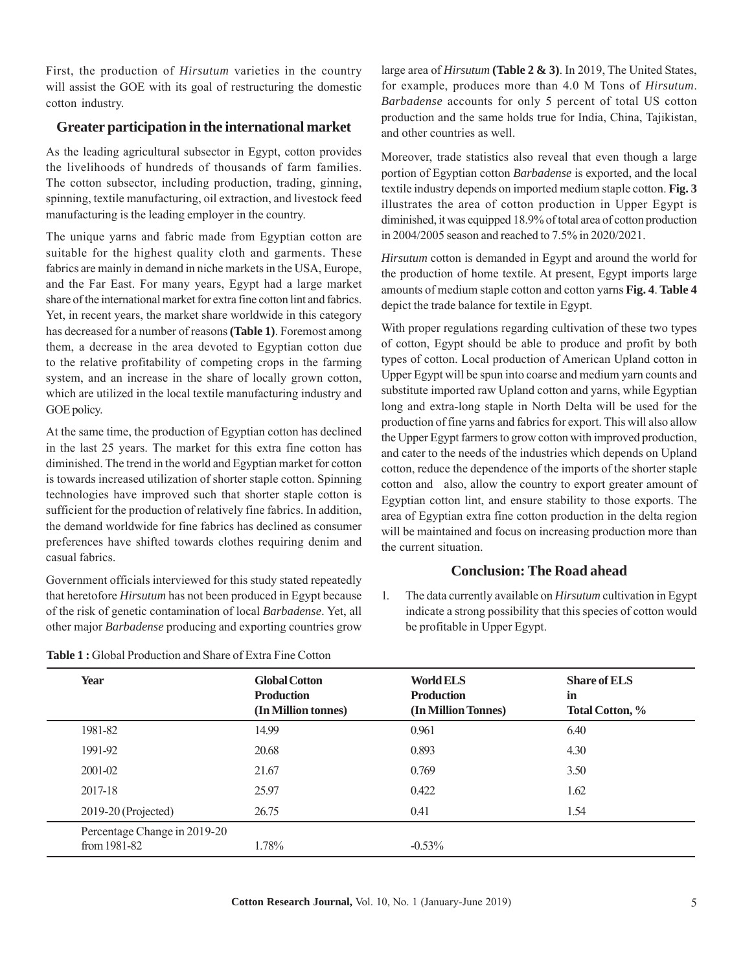First, the production of *Hirsutum* varieties in the country will assist the GOE with its goal of restructuring the domestic cotton industry.

# **Greater participation in the international market**

As the leading agricultural subsector in Egypt, cotton provides the livelihoods of hundreds of thousands of farm families. The cotton subsector, including production, trading, ginning, spinning, textile manufacturing, oil extraction, and livestock feed manufacturing is the leading employer in the country.

The unique yarns and fabric made from Egyptian cotton are suitable for the highest quality cloth and garments. These fabrics are mainly in demand in niche markets in the USA, Europe, and the Far East. For many years, Egypt had a large market share of the international market for extra fine cotton lint and fabrics. Yet, in recent years, the market share worldwide in this category has decreased for a number of reasons **(Table 1)**. Foremost among them, a decrease in the area devoted to Egyptian cotton due to the relative profitability of competing crops in the farming system, and an increase in the share of locally grown cotton, which are utilized in the local textile manufacturing industry and GOE policy.

At the same time, the production of Egyptian cotton has declined in the last 25 years. The market for this extra fine cotton has diminished. The trend in the world and Egyptian market for cotton is towards increased utilization of shorter staple cotton. Spinning technologies have improved such that shorter staple cotton is sufficient for the production of relatively fine fabrics. In addition, the demand worldwide for fine fabrics has declined as consumer preferences have shifted towards clothes requiring denim and casual fabrics.

Government officials interviewed for this study stated repeatedly that heretofore *Hirsutum* has not been produced in Egypt because of the risk of genetic contamination of local *Barbadense*. Yet, all other major *Barbadense* producing and exporting countries grow

large area of *Hirsutum* **(Table 2 & 3)**. In 2019, The United States, for example, produces more than 4.0 M Tons of *Hirsutum*. *Barbadense* accounts for only 5 percent of total US cotton production and the same holds true for India, China, Tajikistan, and other countries as well.

Moreover, trade statistics also reveal that even though a large portion of Egyptian cotton *Barbadense* is exported, and the local textile industry depends on imported medium staple cotton. **Fig. 3** illustrates the area of cotton production in Upper Egypt is diminished, it was equipped 18.9% of total area of cotton production in 2004/2005 season and reached to 7.5% in 2020/2021.

*Hirsutum* cotton is demanded in Egypt and around the world for the production of home textile. At present, Egypt imports large amounts of medium staple cotton and cotton yarns **Fig. 4**. **Table 4** depict the trade balance for textile in Egypt.

With proper regulations regarding cultivation of these two types of cotton, Egypt should be able to produce and profit by both types of cotton. Local production of American Upland cotton in Upper Egypt will be spun into coarse and medium yarn counts and substitute imported raw Upland cotton and yarns, while Egyptian long and extra-long staple in North Delta will be used for the production of fine yarns and fabrics for export. This will also allow the Upper Egypt farmers to grow cotton with improved production, and cater to the needs of the industries which depends on Upland cotton, reduce the dependence of the imports of the shorter staple cotton and also, allow the country to export greater amount of Egyptian cotton lint, and ensure stability to those exports. The area of Egyptian extra fine cotton production in the delta region will be maintained and focus on increasing production more than the current situation.

## **Conclusion: The Road ahead**

1. The data currently available on *Hirsutum* cultivation in Egypt indicate a strong possibility that this species of cotton would be profitable in Upper Egypt.

| Year                                         | <b>Global Cotton</b><br><b>Production</b><br>(In Million tonnes) | <b>World ELS</b><br><b>Production</b><br>(In Million Tonnes) | <b>Share of ELS</b><br>in<br><b>Total Cotton, %</b> |
|----------------------------------------------|------------------------------------------------------------------|--------------------------------------------------------------|-----------------------------------------------------|
| 1981-82                                      | 14.99                                                            | 0.961                                                        | 6.40                                                |
| 1991-92                                      | 20.68                                                            | 0.893                                                        | 4.30                                                |
| 2001-02                                      | 21.67                                                            | 0.769                                                        | 3.50                                                |
| 2017-18                                      | 25.97                                                            | 0.422                                                        | 1.62                                                |
| $2019-20$ (Projected)                        | 26.75                                                            | 0.41                                                         | 1.54                                                |
| Percentage Change in 2019-20<br>from 1981-82 | 1.78%                                                            | $-0.53%$                                                     |                                                     |

**Table 1 :** Global Production and Share of Extra Fine Cotton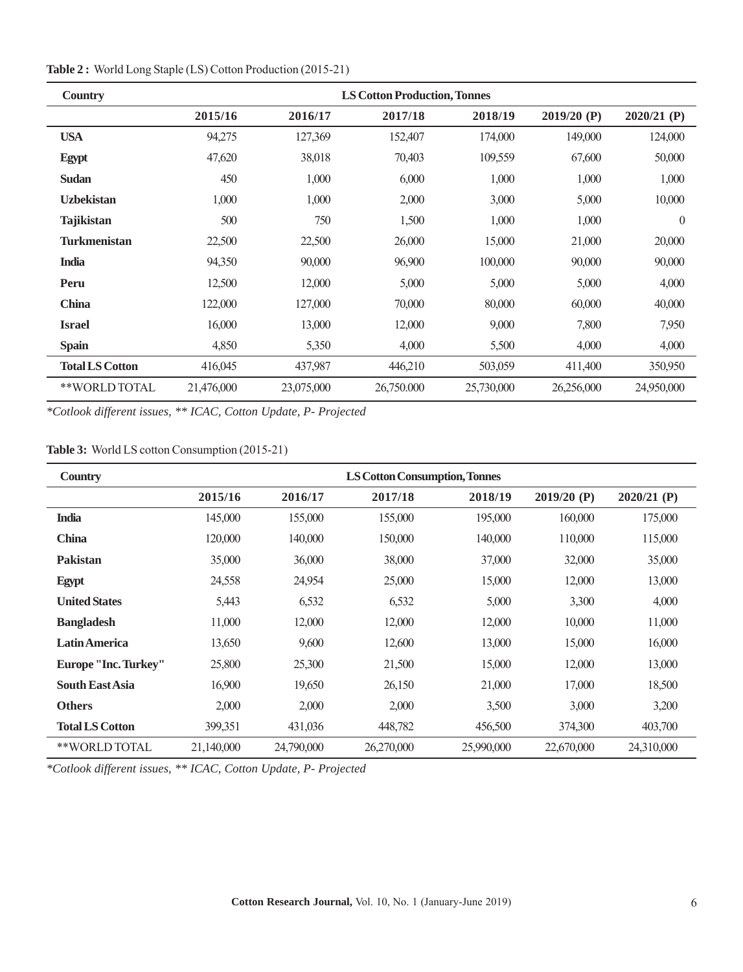| <b>Country</b>         | <b>LS Cotton Production, Tonnes</b> |            |            |            |             |             |
|------------------------|-------------------------------------|------------|------------|------------|-------------|-------------|
|                        | 2015/16                             | 2016/17    | 2017/18    | 2018/19    | 2019/20 (P) | 2020/21 (P) |
| <b>USA</b>             | 94,275                              | 127,369    | 152,407    | 174,000    | 149,000     | 124,000     |
| <b>Egypt</b>           | 47,620                              | 38,018     | 70,403     | 109,559    | 67,600      | 50,000      |
| <b>Sudan</b>           | 450                                 | 1,000      | 6,000      | 1,000      | 1,000       | 1,000       |
| <b>Uzbekistan</b>      | 1,000                               | 1,000      | 2,000      | 3,000      | 5,000       | 10,000      |
| <b>Tajikistan</b>      | 500                                 | 750        | 1,500      | 1,000      | 1,000       | $\theta$    |
| <b>Turkmenistan</b>    | 22,500                              | 22,500     | 26,000     | 15,000     | 21,000      | 20,000      |
| <b>India</b>           | 94,350                              | 90,000     | 96,900     | 100,000    | 90,000      | 90,000      |
| Peru                   | 12,500                              | 12,000     | 5,000      | 5,000      | 5,000       | 4,000       |
| <b>China</b>           | 122,000                             | 127,000    | 70,000     | 80,000     | 60,000      | 40,000      |
| <b>Israel</b>          | 16,000                              | 13,000     | 12,000     | 9,000      | 7,800       | 7,950       |
| <b>Spain</b>           | 4,850                               | 5,350      | 4,000      | 5,500      | 4,000       | 4,000       |
| <b>Total LS Cotton</b> | 416,045                             | 437,987    | 446,210    | 503,059    | 411,400     | 350,950     |
| **WORLD TOTAL          | 21,476,000                          | 23,075,000 | 26,750,000 | 25,730,000 | 26,256,000  | 24,950,000  |

**Table 2 :** World Long Staple (LS) Cotton Production (2015-21)

*\*Cotlook different issues, \*\* ICAC, Cotton Update, P- Projected*

# **Table 3:** World LS cotton Consumption (2015-21)

| <b>Country</b>         | <b>LS Cotton Consumption, Tonnes</b> |            |            |            |               |               |
|------------------------|--------------------------------------|------------|------------|------------|---------------|---------------|
|                        | 2015/16                              | 2016/17    | 2017/18    | 2018/19    | $2019/20$ (P) | $2020/21$ (P) |
| <b>India</b>           | 145,000                              | 155,000    | 155,000    | 195,000    | 160,000       | 175,000       |
| <b>China</b>           | 120,000                              | 140,000    | 150,000    | 140,000    | 110,000       | 115,000       |
| <b>Pakistan</b>        | 35,000                               | 36,000     | 38,000     | 37,000     | 32,000        | 35,000        |
| Egypt                  | 24,558                               | 24,954     | 25,000     | 15,000     | 12,000        | 13,000        |
| <b>United States</b>   | 5,443                                | 6,532      | 6,532      | 5,000      | 3,300         | 4,000         |
| <b>Bangladesh</b>      | 11,000                               | 12,000     | 12,000     | 12,000     | 10,000        | 11,000        |
| <b>Latin America</b>   | 13,650                               | 9,600      | 12,600     | 13,000     | 15,000        | 16,000        |
| Europe "Inc. Turkey"   | 25,800                               | 25,300     | 21,500     | 15,000     | 12,000        | 13,000        |
| <b>South East Asia</b> | 16,900                               | 19,650     | 26,150     | 21,000     | 17,000        | 18,500        |
| <b>Others</b>          | 2,000                                | 2,000      | 2,000      | 3,500      | 3,000         | 3,200         |
| <b>Total LS Cotton</b> | 399,351                              | 431,036    | 448,782    | 456,500    | 374,300       | 403,700       |
| **WORLD TOTAL          | 21,140,000                           | 24,790,000 | 26,270,000 | 25,990,000 | 22,670,000    | 24,310,000    |

*\*Cotlook different issues, \*\* ICAC, Cotton Update, P- Projected*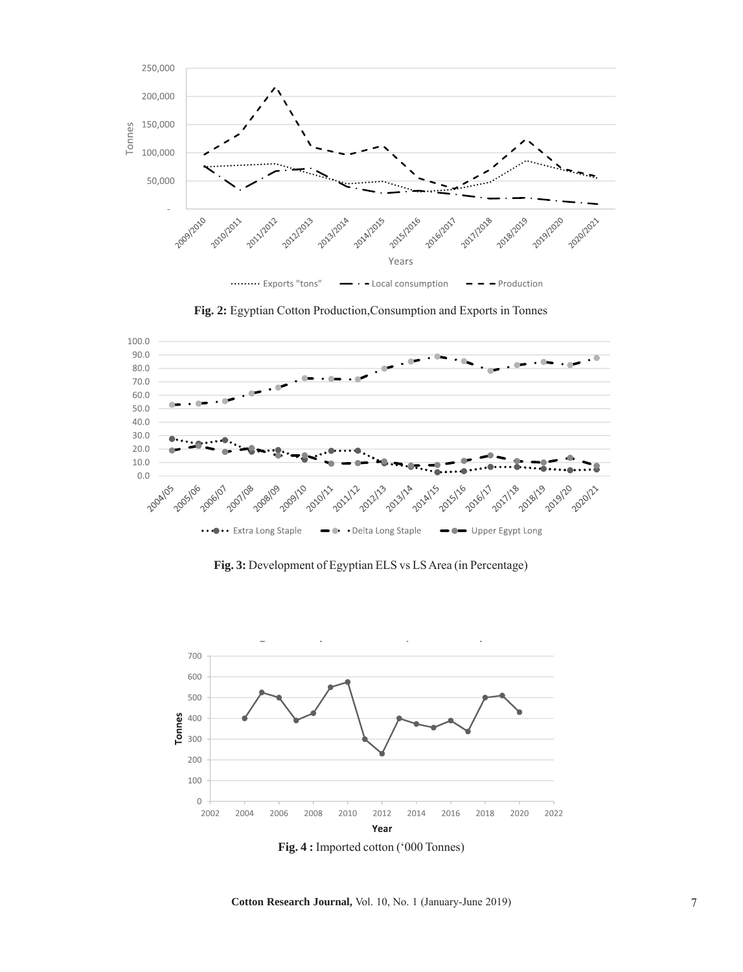





**Fig. 3:** Development of Egyptian ELS vs LS Area (in Percentage)



**Fig. 4 :** Imported cotton ('000 Tonnes)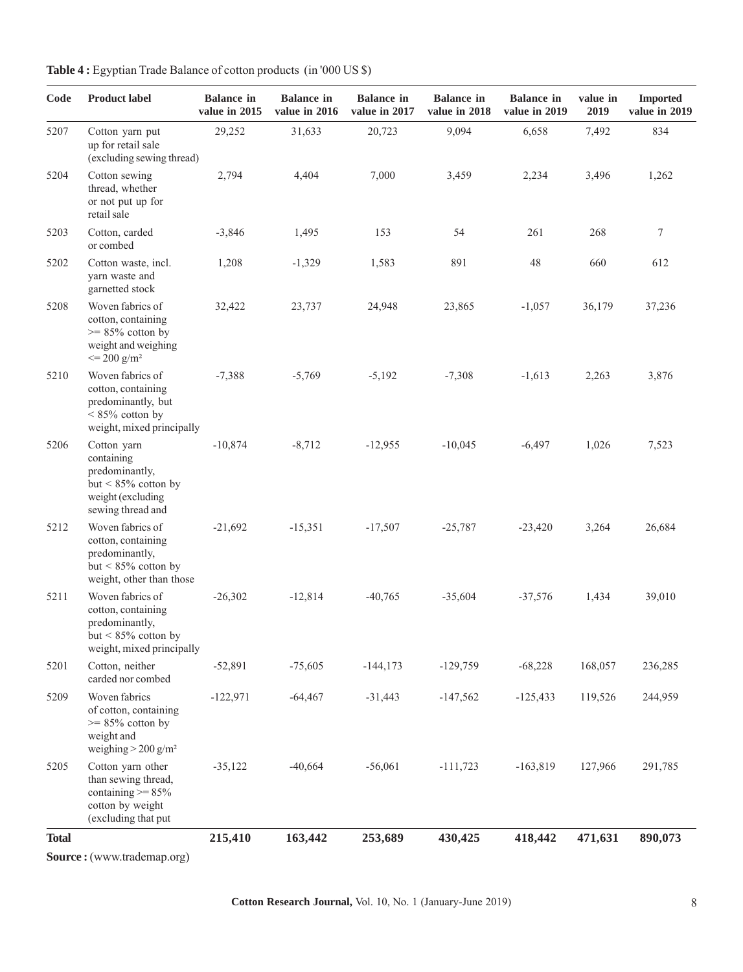|  |  | Table 4 : Egyptian Trade Balance of cotton products (in '000 US \$) |  |  |
|--|--|---------------------------------------------------------------------|--|--|
|--|--|---------------------------------------------------------------------|--|--|

| Code         | <b>Product label</b>                                                                                                | <b>Balance</b> in<br>value in 2015 | <b>Balance</b> in<br>value in 2016 | <b>Balance</b> in<br>value in 2017 | <b>Balance</b> in<br>value in 2018 | <b>Balance</b> in<br>value in 2019 | value in<br>2019 | <b>Imported</b><br>value in 2019 |
|--------------|---------------------------------------------------------------------------------------------------------------------|------------------------------------|------------------------------------|------------------------------------|------------------------------------|------------------------------------|------------------|----------------------------------|
| 5207         | Cotton yarn put<br>up for retail sale<br>(excluding sewing thread)                                                  | 29,252                             | 31,633                             | 20,723                             | 9,094                              | 6,658                              | 7,492            | 834                              |
| 5204         | Cotton sewing<br>thread, whether<br>or not put up for<br>retail sale                                                | 2,794                              | 4,404                              | 7,000                              | 3,459                              | 2,234                              | 3,496            | 1,262                            |
| 5203         | Cotton, carded<br>or combed                                                                                         | $-3,846$                           | 1,495                              | 153                                | 54                                 | 261                                | 268              | 7                                |
| 5202         | Cotton waste, incl.<br>yarn waste and<br>garnetted stock                                                            | 1,208                              | $-1,329$                           | 1,583                              | 891                                | 48                                 | 660              | 612                              |
| 5208         | Woven fabrics of<br>cotton, containing<br>$>= 85\%$ cotton by<br>weight and weighing<br>$\leq$ 200 g/m <sup>2</sup> | 32,422                             | 23,737                             | 24,948                             | 23,865                             | $-1,057$                           | 36,179           | 37,236                           |
| 5210         | Woven fabrics of<br>cotton, containing<br>predominantly, but<br>$< 85\%$ cotton by<br>weight, mixed principally     | $-7,388$                           | $-5,769$                           | $-5,192$                           | $-7,308$                           | $-1,613$                           | 2,263            | 3,876                            |
| 5206         | Cotton yarn<br>containing<br>predominantly,<br>but $\leq 85\%$ cotton by<br>weight (excluding<br>sewing thread and  | $-10,874$                          | $-8,712$                           | $-12,955$                          | $-10,045$                          | $-6,497$                           | 1,026            | 7,523                            |
| 5212         | Woven fabrics of<br>cotton, containing<br>predominantly,<br>but $\leq 85\%$ cotton by<br>weight, other than those   | $-21,692$                          | $-15,351$                          | $-17,507$                          | $-25,787$                          | $-23,420$                          | 3,264            | 26,684                           |
| 5211         | Woven fabrics of<br>cotton, containing<br>predominantly,<br>but $\leq 85\%$ cotton by<br>weight, mixed principally  | $-26,302$                          | $-12,814$                          | $-40,765$                          | $-35,604$                          | $-37,576$                          | 1,434            | 39,010                           |
| 5201         | Cotton, neither<br>carded nor combed                                                                                | $-52,891$                          | $-75,605$                          | $-144, 173$                        | $-129,759$                         | $-68,228$                          | 168,057          | 236,285                          |
| 5209         | Woven fabrics<br>of cotton, containing<br>$>= 85\%$ cotton by<br>weight and<br>weighing $>$ 200 g/m <sup>2</sup>    | $-122,971$                         | $-64,467$                          | $-31,443$                          | $-147,562$                         | $-125,433$                         | 119,526          | 244,959                          |
| 5205         | Cotton yarn other<br>than sewing thread,<br>containing $>= 85%$<br>cotton by weight<br>(excluding that put          | $-35,122$                          | $-40,664$                          | $-56,061$                          | $-111,723$                         | $-163,819$                         | 127,966          | 291,785                          |
| <b>Total</b> | Source: (www.trademap.org)                                                                                          | 215,410                            | 163,442                            | 253,689                            | 430,425                            | 418,442                            | 471,631          | 890,073                          |